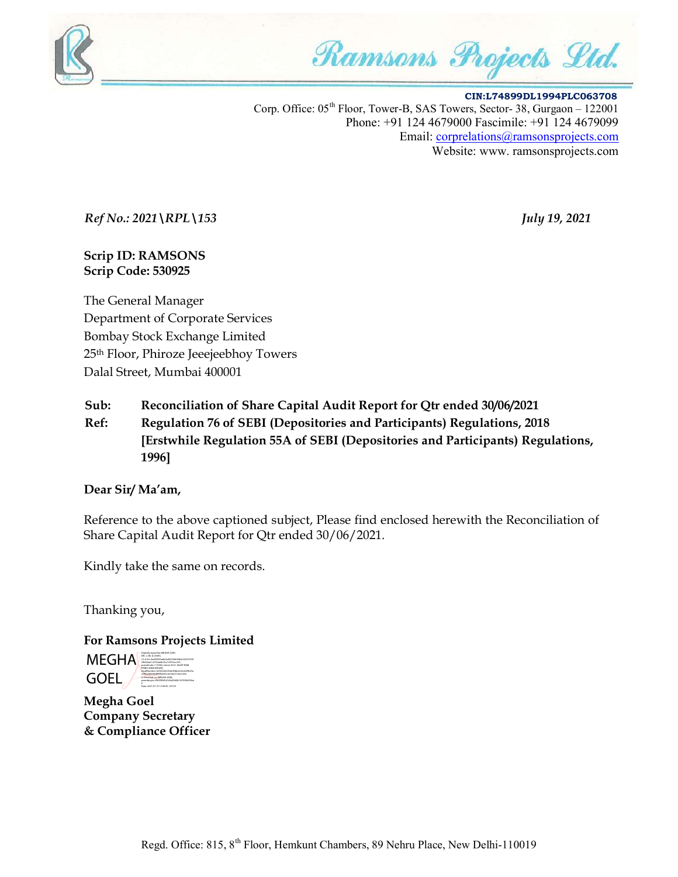

Ramsons Projects Ltd.

 CIN:L74899DL1994PLC063708 Corp. Office:  $05<sup>th</sup>$  Floor, Tower-B, SAS Towers, Sector-38, Gurgaon – 122001 Phone: +91 124 4679000 Fascimile: +91 124 4679099 Email: corprelations@ramsonsprojects.com Website: www. ramsonsprojects.com

Ref No.: 2021\RPL\153 July 19, 2021

#### Scrip ID: RAMSONS Scrip Code: 530925

The General Manager Department of Corporate Services Bombay Stock Exchange Limited 25th Floor, Phiroze Jeeejeebhoy Towers Dalal Street, Mumbai 400001

Sub: Reconciliation of Share Capital Audit Report for Qtr ended 30/06/2021

Ref: Regulation 76 of SEBI (Depositories and Participants) Regulations, 2018 [Erstwhile Regulation 55A of SEBI (Depositories and Participants) Regulations, 1996]

#### Dear Sir/ Ma'am,

Reference to the above captioned subject, Please find enclosed herewith the Reconciliation of Share Capital Audit Report for Qtr ended 30/06/2021.

Kindly take the same on records.

Thanking you,

For Ramsons Projects Limited

**MEGHA**  GOEL Digitally signed by MEGHA GOEL DN: c=IN, st=Delhi, 2.5.4.20=4ad30596a6b2a46250d540b2c60210539 29b56ad1c275dae8c7bc7c976cec431, postalCode=110092, street=N-61 JAGAT RAM PARK LAXMI NAGAR, serialNumber=b556266325de49bb2c5ecb49b25a cf783ad0b9dd89f8cb93c4e7edc516e2c635, o=Personal, cn=MEGHA GOEL, pseudonym=f5005ffd7a7d5a09d3b103769b092ea 6 Date: 2021.07.19 13:40:45 +05'30'

Megha Goel Company Secretary & Compliance Officer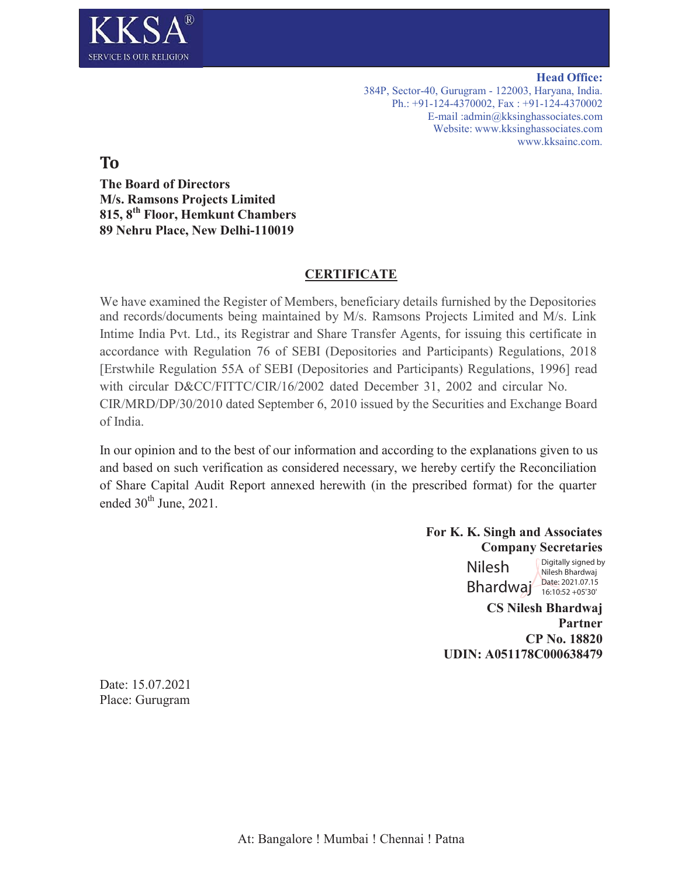

**Head Office:** 384P, Sector-40, Gurugram - 122003, Haryana, India. Ph.: +91-124-4370002, Fax : +91-124-4370002 E-mail :admin@kksinghassociates.com Website: www.kksinghassociates.com www.kksainc.com.

**To**

**The Board of Directors M/s. Ramsons Projects Limited 815, 8th Floor, Hemkunt Chambers 89 Nehru Place, New Delhi-110019**

# **CERTIFICATE**

We have examined the Register of Members, beneficiary details furnished by the Depositories and records/documents being maintained by M/s. Ramsons Projects Limited and M/s. Link Intime India Pvt. Ltd., its Registrar and Share Transfer Agents, for issuing this certificate in accordance with Regulation 76 of SEBI (Depositories and Participants) Regulations, 2018 [Erstwhile Regulation 55A of SEBI (Depositories and Participants) Regulations, 1996] read with circular D&CC/FITTC/CIR/16/2002 dated December 31, 2002 and circular No. CIR/MRD/DP/30/2010 dated September 6, 2010 issued by the Securities and Exchange Board of India.

In our opinion and to the best of our information and according to the explanations given to us and based on such verification as considered necessary, we hereby certify the Reconciliation of Share Capital Audit Report annexed herewith (in the prescribed format) for the quarter ended  $30<sup>th</sup>$  June, 2021.

> **For K. K. Singh and Associates Company Secretaries**

> > Nilesh Bhardwaj Date: 2021.07.15

Digitally signed by Nilesh Bhardwaj 16:10:52 +05'30'

**CS Nilesh Bhardwaj Partner CP No. 18820 UDIN: A051178C000638479** 

Date: 15.07.2021 Place: Gurugram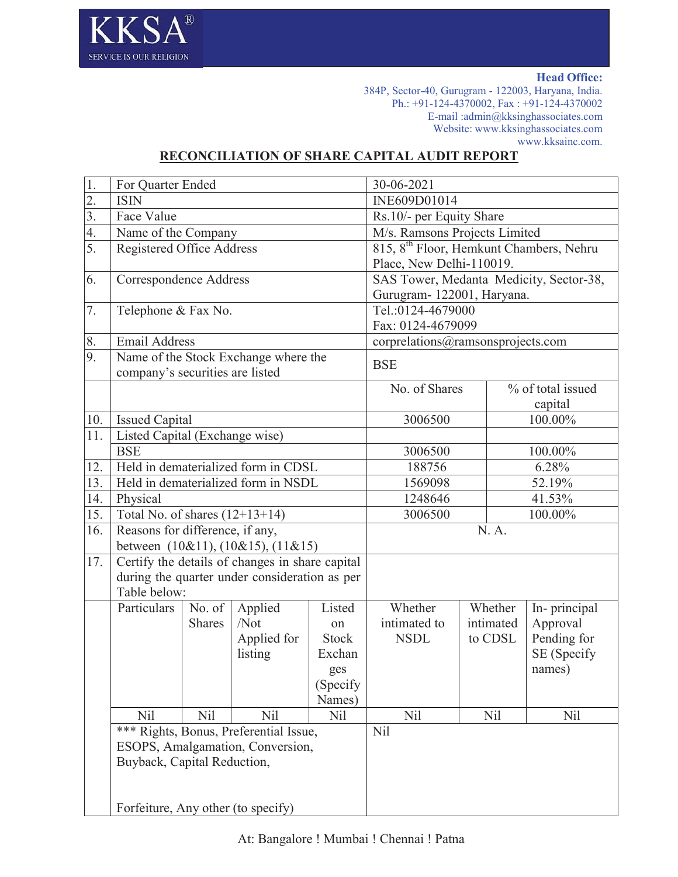

**Head Office:**

384P, Sector-40, Gurugram - 122003, Haryana, India. Ph.: +91-124-4370002, Fax : +91-124-4370002 E-mail :admin@kksinghassociates.com Website: www.kksinghassociates.com www.kksainc.com.

# **RECONCILIATION OF SHARE CAPITAL AUDIT REPORT**

| 1.               | For Quarter Ended                            |               |                                                 |                   | 30-06-2021                                          |           |                    |
|------------------|----------------------------------------------|---------------|-------------------------------------------------|-------------------|-----------------------------------------------------|-----------|--------------------|
| $\overline{2}$ . | <b>ISIN</b>                                  |               |                                                 |                   | INE609D01014                                        |           |                    |
| $\overline{3}$ . | Face Value                                   |               |                                                 |                   | Rs.10/- per Equity Share                            |           |                    |
| $\overline{4}$ . | Name of the Company                          |               |                                                 |                   | M/s. Ramsons Projects Limited                       |           |                    |
| 5.               | Registered Office Address                    |               |                                                 |                   | 815, 8 <sup>th</sup> Floor, Hemkunt Chambers, Nehru |           |                    |
|                  |                                              |               |                                                 |                   | Place, New Delhi-110019.                            |           |                    |
| 6.               | Correspondence Address                       |               |                                                 |                   | SAS Tower, Medanta Medicity, Sector-38,             |           |                    |
|                  |                                              |               |                                                 |                   | Gurugram-122001, Haryana.                           |           |                    |
| 7.               | Telephone & Fax No.                          |               |                                                 | Tel.:0124-4679000 |                                                     |           |                    |
|                  |                                              |               |                                                 |                   | Fax: 0124-4679099                                   |           |                    |
| 8.               | <b>Email Address</b>                         |               |                                                 |                   | corprelations@ramsonsprojects.com                   |           |                    |
| 9.               |                                              |               | Name of the Stock Exchange where the            |                   | <b>BSE</b>                                          |           |                    |
|                  | company's securities are listed              |               |                                                 |                   |                                                     |           |                    |
|                  |                                              |               |                                                 |                   | No. of Shares                                       |           | % of total issued  |
| 10.              |                                              |               |                                                 |                   |                                                     |           | capital<br>100.00% |
| 11.              | <b>Issued Capital</b>                        |               |                                                 |                   | 3006500                                             |           |                    |
|                  | Listed Capital (Exchange wise)<br><b>BSE</b> |               |                                                 |                   | 3006500                                             |           | 100.00%            |
| 12.              | Held in dematerialized form in CDSL          |               |                                                 |                   | 188756                                              |           | 6.28%              |
| 13.              |                                              |               | Held in dematerialized form in NSDL             |                   | 1569098                                             |           | 52.19%             |
| 14.              | Physical                                     |               |                                                 |                   | 41.53%<br>1248646                                   |           |                    |
| 15.              | Total No. of shares $(12+13+14)$             |               |                                                 |                   | 3006500                                             |           | 100.00%            |
| 16.              | Reasons for difference, if any,              |               |                                                 |                   | N.A.                                                |           |                    |
|                  |                                              |               | between $(10&11)$ , $(10&15)$ , $(11&15)$       |                   |                                                     |           |                    |
| 17.              |                                              |               | Certify the details of changes in share capital |                   |                                                     |           |                    |
|                  |                                              |               | during the quarter under consideration as per   |                   |                                                     |           |                    |
|                  | Table below:                                 |               |                                                 |                   |                                                     |           |                    |
|                  | Particulars                                  | No. of        | Applied                                         | Listed            | Whether                                             | Whether   | In-principal       |
|                  |                                              | <b>Shares</b> | /Not                                            | on                | intimated to                                        | intimated | Approval           |
|                  |                                              |               | Applied for                                     | Stock             | <b>NSDL</b>                                         | to CDSL   | Pending for        |
|                  |                                              |               | listing                                         | Exchan            |                                                     |           | SE (Specify        |
|                  |                                              |               |                                                 | ges               |                                                     |           | names)             |
|                  |                                              |               |                                                 | (Specify)         |                                                     |           |                    |
|                  |                                              |               |                                                 | Names)            |                                                     |           |                    |
|                  | N <sub>il</sub>                              | Nil           | Nil                                             | Nil               | Nil                                                 | Nil       | N <sub>il</sub>    |
|                  |                                              |               | *** Rights, Bonus, Preferential Issue,          |                   | Nil                                                 |           |                    |
|                  |                                              |               | ESOPS, Amalgamation, Conversion,                |                   |                                                     |           |                    |
|                  | Buyback, Capital Reduction,                  |               |                                                 |                   |                                                     |           |                    |
|                  |                                              |               |                                                 |                   |                                                     |           |                    |
|                  | Forfeiture, Any other (to specify)           |               |                                                 |                   |                                                     |           |                    |
|                  |                                              |               |                                                 |                   |                                                     |           |                    |